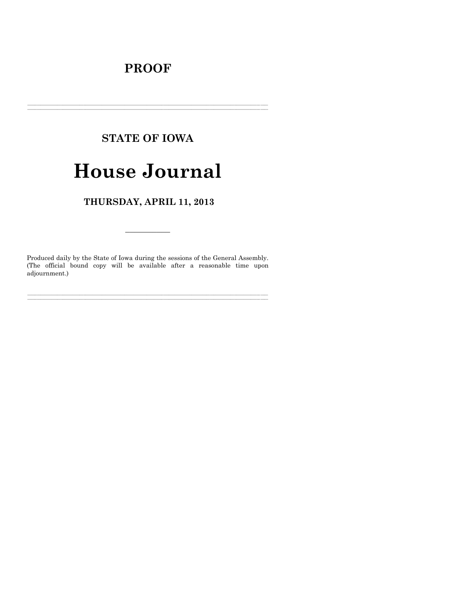# **PROOF**

# **STATE OF IOWA**

# **House Journal**

### THURSDAY, APRIL 11, 2013

Produced daily by the State of Iowa during the sessions of the General Assembly. (The official bound copy will be available after a reasonable time upon adjournment.)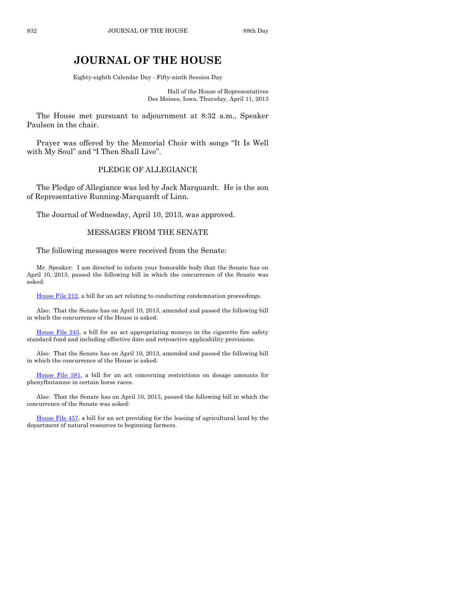## **JOURNAL OF THE HOUSE**

Eighty-eighth Calendar Day - Fifty-ninth Session Day

Hall of the House of Representatives Des Moines, Iowa, Thursday, April 11, 2013

The House met pursuant to adjournment at 8:32 a.m., Speaker Paulsen in the chair.

Prayer was offered by the Memorial Choir with songs "It Is Well with My Soul" and "I Then Shall Live".

#### PLEDGE OF ALLEGIANCE

The Pledge of Allegiance was led by Jack Marquardt. He is the son of Representative Running-Marquardt of Linn.

The Journal of Wednesday, April 10, 2013, was approved.

#### MESSAGES FROM THE SENATE

The following messages were received from the Senate:

Mr. Speaker: I am directed to inform your honorable body that the Senate has on April 10, 2013, passed the following bill in which the concurrence of the Senate was asked:

[House File 212,](http://coolice.legis.state.ia.us/Cool-ICE/default.asp?Category=billinfo&Service=Billbook&frame=1&GA=85&hbill=HF212) a bill for an act relating to conducting condemnation proceedings.

Also: That the Senate has on April 10, 2013, amended and passed the following bill in which the concurrence of the House is asked:

[House File 245,](http://coolice.legis.state.ia.us/Cool-ICE/default.asp?Category=billinfo&Service=Billbook&frame=1&GA=85&hbill=HF245) a bill for an act appropriating moneys in the cigarette fire safety standard fund and including effective date and retroactive applicability provisions.

Also: That the Senate has on April 10, 2013, amended and passed the following bill in which the concurrence of the House is asked:

[House File 381,](http://coolice.legis.state.ia.us/Cool-ICE/default.asp?Category=billinfo&Service=Billbook&frame=1&GA=85&hbill=HF381) a bill for an act concerning restrictions on dosage amounts for phenylbutazone in certain horse races.

Also: That the Senate has on April 10, 2013, passed the following bill in which the concurrence of the Senate was asked:

[House File 457,](http://coolice.legis.state.ia.us/Cool-ICE/default.asp?Category=billinfo&Service=Billbook&frame=1&GA=85&hbill=HF457) a bill for an act providing for the leasing of agricultural land by the department of natural resources to beginning farmers.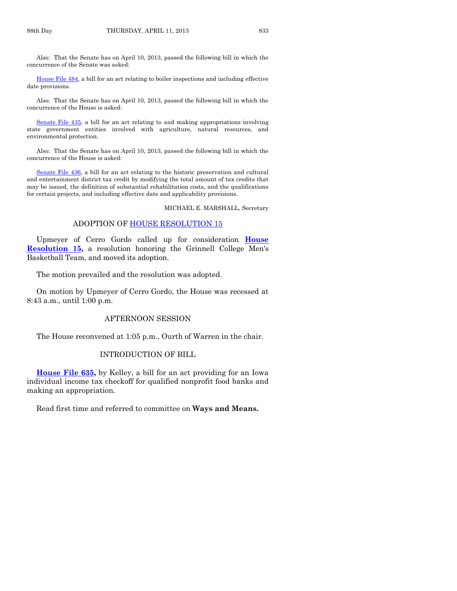Also: That the Senate has on April 10, 2013, passed the following bill in which the concurrence of the Senate was asked:

[House File 484,](http://coolice.legis.state.ia.us/Cool-ICE/default.asp?Category=billinfo&Service=Billbook&frame=1&GA=85&hbill=HF484) a bill for an act relating to boiler inspections and including effective date provisions.

Also: That the Senate has on April 10, 2013, passed the following bill in which the concurrence of the House is asked:

[Senate File 435,](http://coolice.legis.state.ia.us/Cool-ICE/default.asp?Category=billinfo&Service=Billbook&frame=1&GA=85&hbill=SF435) a bill for an act relating to and making appropriations involving state government entities involved with agriculture, natural resources, and environmental protection.

Also: That the Senate has on April 10, 2013, passed the following bill in which the concurrence of the House is asked:

[Senate File 436,](http://coolice.legis.state.ia.us/Cool-ICE/default.asp?Category=billinfo&Service=Billbook&frame=1&GA=85&hbill=SF436) a bill for an act relating to the historic preservation and cultural and entertainment district tax credit by modifying the total amount of tax credits that may be issued, the definition of substantial rehabilitation costs, and the qualifications for certain projects, and including effective date and applicability provisions.

MICHAEL E. MARSHALL, Secretary

#### ADOPTION OF [HOUSE RESOLUTION 15](http://coolice.legis.state.ia.us/Cool-ICE/default.asp?Category=billinfo&Service=Billbook&frame=1&GA=85&hbill=HR15)

Upmeyer of Cerro Gordo called up for consideration **[House](http://coolice.legis.state.ia.us/Cool-ICE/default.asp?Category=billinfo&Service=Billbook&frame=1&GA=85&hbill=HR15)  [Resolution 15,](http://coolice.legis.state.ia.us/Cool-ICE/default.asp?Category=billinfo&Service=Billbook&frame=1&GA=85&hbill=HR15)** a resolution honoring the Grinnell College Men's Basketball Team, and moved its adoption.

The motion prevailed and the resolution was adopted.

On motion by Upmeyer of Cerro Gordo, the House was recessed at 8:43 a.m., until 1:00 p.m.

#### AFTERNOON SESSION

The House reconvened at 1:05 p.m., Ourth of Warren in the chair.

#### INTRODUCTION OF BILL

**[House File 635,](http://coolice.legis.state.ia.us/Cool-ICE/default.asp?Category=billinfo&Service=Billbook&frame=1&GA=85&hbill=HF635)** by Kelley, a bill for an act providing for an Iowa individual income tax checkoff for qualified nonprofit food banks and making an appropriation.

Read first time and referred to committee on **Ways and Means.**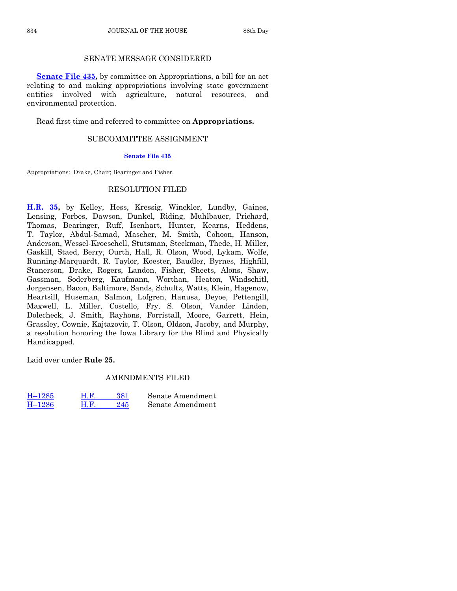#### SENATE MESSAGE CONSIDERED

**[Senate File 435,](http://coolice.legis.state.ia.us/Cool-ICE/default.asp?Category=billinfo&Service=Billbook&frame=1&GA=85&hbill=SF435)** by committee on Appropriations, a bill for an act relating to and making appropriations involving state government entities involved with agriculture, natural resources, and environmental protection.

Read first time and referred to committee on **Appropriations.**

#### SUBCOMMITTEE ASSIGNMENT

#### **[Senate File 435](http://coolice.legis.state.ia.us/Cool-ICE/default.asp?Category=billinfo&Service=Billbook&frame=1&GA=85&hbill=SF435)**

Appropriations: Drake, Chair; Bearinger and Fisher.

#### RESOLUTION FILED

**[H.R. 35,](http://coolice.legis.state.ia.us/Cool-ICE/default.asp?Category=billinfo&Service=Billbook&frame=1&GA=85&hbill=HR35)** by Kelley, Hess, Kressig, Winckler, Lundby, Gaines, Lensing, Forbes, Dawson, Dunkel, Riding, Muhlbauer, Prichard, Thomas, Bearinger, Ruff, Isenhart, Hunter, Kearns, Heddens, T. Taylor, Abdul-Samad, Mascher, M. Smith, Cohoon, Hanson, Anderson, Wessel-Kroeschell, Stutsman, Steckman, Thede, H. Miller, Gaskill, Staed, Berry, Ourth, Hall, R. Olson, Wood, Lykam, Wolfe, Running-Marquardt, R. Taylor, Koester, Baudler, Byrnes, Highfill, Stanerson, Drake, Rogers, Landon, Fisher, Sheets, Alons, Shaw, Gassman, Soderberg, Kaufmann, Worthan, Heaton, Windschitl, Jorgensen, Bacon, Baltimore, Sands, Schultz, Watts, Klein, Hagenow, Heartsill, Huseman, Salmon, Lofgren, Hanusa, Deyoe, Pettengill, Maxwell, L. Miller, Costello, Fry, S. Olson, Vander Linden, Dolecheck, J. Smith, Rayhons, Forristall, Moore, Garrett, Hein, Grassley, Cownie, Kajtazovic, T. Olson, Oldson, Jacoby, and Murphy, a resolution honoring the Iowa Library for the Blind and Physically Handicapped.

Laid over under **Rule 25.**

#### AMENDMENTS FILED

| $H-1285$ | H.F | 381 | Senate Amendment |
|----------|-----|-----|------------------|
| $H-1286$ | H.F | 245 | Senate Amendment |